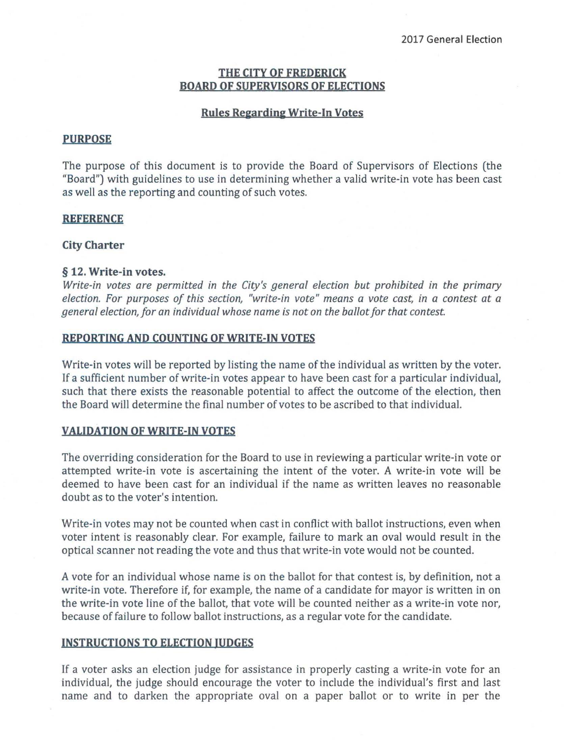# **THE CITY Of fREDERICK BOARD Of SUPERVISORS Of ELECTIONS**

#### **Rules Regarding Write-In Votes**

#### **PURPOSE**

The purpose of this document is to provide the Board of Supervisors of Elections (the "Board") with guidelines to use in determining whether a valid write-in vote has been cast as well as the reporting and counting of such votes.

#### **REfERENCE**

#### **City Charter**

### § 12. **Write-in** votes.

*Write-in votes are permitted in the City's general election but prohibited in the primary election. For purposes of this section, "write-in vote" means* a *vote cast, in* a *contest at* a *general election, for an individual whose name is not on the ballot for that contest.* 

#### **REPORTING AND COUNTING Of WRITE-IN VOTES**

Write-in votes will be reported by listing the name of the individual as written by the voter. If a sufficient number of write-in votes appear to have been cast for a particular individual, such that there exists the reasonable potential to affect the outcome of the election, then the Board will determine the final number of votes to be ascribed to that individual.

## **VALIDATION Of WRITE-IN VOTES**

The overriding consideration for the Board to use in reviewing a particular write-in vote or attempted write-in vote is ascertaining the intent of the voter. A write-in vote will be deemed to have been cast for an individual if the name as written leaves no reasonable doubt as to the voter's intention.

Write-in votes may not be counted when cast in conflict with ballot instructions, even when voter intent is reasonably clear. For example, failure to mark an oval would result in the optical scanner not reading the vote and thus that write-in vote would not be counted.

A vote for an individual whose name is on the ballot for that contest is, by definition, not a write-in vote. Therefore if, for example, the name of a candidate for mayor is written in on the write-in vote line of the ballot, that vote will be counted neither as a write-in vote nor, because of failure to follow ballot instructions, as a regular vote for the candidate.

### **INSTRUCTIONS TO ELECTION JUDGES**

If a voter asks an election judge for assistance in properly casting a write-in vote for an individual, the judge should encourage the voter to include the individual's first and last name and to darken the appropriate oval on a paper ballot or to write in per the